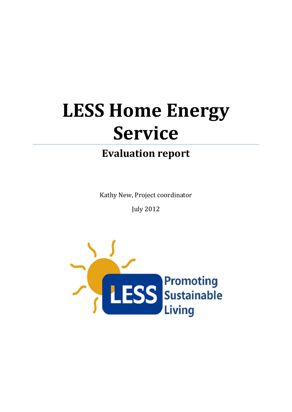# **LESS Home Energy Service**

# **Evaluation report**

Kathy New, Project coordinator

July 2012

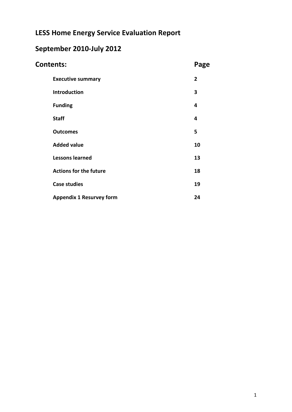# **LESS Home Energy Service Evaluation Report**

# **September 2010-July 2012**

| <b>Contents:</b>                |                |  |  |  |  |
|---------------------------------|----------------|--|--|--|--|
| <b>Executive summary</b>        | $\overline{2}$ |  |  |  |  |
| <b>Introduction</b>             | 3              |  |  |  |  |
| <b>Funding</b>                  | 4              |  |  |  |  |
| <b>Staff</b>                    | 4              |  |  |  |  |
| <b>Outcomes</b>                 | 5              |  |  |  |  |
| <b>Added value</b>              | 10             |  |  |  |  |
| <b>Lessons learned</b>          | 13             |  |  |  |  |
| <b>Actions for the future</b>   | 18             |  |  |  |  |
| <b>Case studies</b>             | 19             |  |  |  |  |
| <b>Appendix 1 Resurvey form</b> | 24             |  |  |  |  |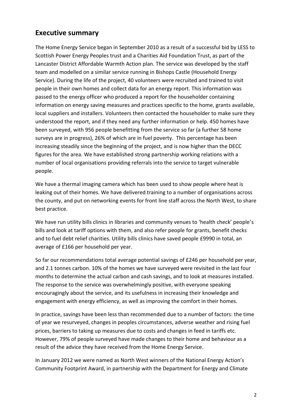### **Executive summary**

The Home Energy Service began in September 2010 as a result of a successful bid by LESS to Scottish Power Energy Peoples trust and a Charities Aid Foundation Trust, as part of the Lancaster District Affordable Warmth Action plan. The service was developed by the staff team and modelled on a similar service running in Bishops Castle (Household Energy Service). During the life of the project, 40 volunteers were recruited and trained to visit people in their own homes and collect data for an energy report. This information was passed to the energy officer who produced a report for the householder containing information on energy saving measures and practices specific to the home, grants available, local suppliers and installers. Volunteers then contacted the householder to make sure they understood the report, and if they need any further information or help. 450 homes have been surveyed, with 956 people benefitting from the service so far (a further 58 home surveys are in progress), 26% of which are in fuel poverty. This percentage has been increasing steadily since the beginning of the project, and is now higher than the DECC figures for the area. We have established strong partnership working relations with a number of local organisations providing referrals into the service to target vulnerable people.

We have a thermal imaging camera which has been used to show people where heat is leaking out of their homes. We have delivered training to a number of organisations across the county, and put on networking events for front line staff across the North West, to share best practice.

We have run utility bills clinics in libraries and community venues to 'health check' people's bills and look at tariff options with them, and also refer people for grants, benefit checks and to fuel debt relief charities. Utility bills clinics have saved people £9990 in total, an average of £166 per household per year.

So far our recommendations total average potential savings of £246 per household per year, and 2.1 tonnes carbon. 10% of the homes we have surveyed were revisited in the last four months to determine the actual carbon and cash savings, and to look at measures installed. The response to the service was overwhelmingly positive, with everyone speaking encouragingly about the service, and its usefulness in increasing their knowledge and engagement with energy efficiency, as well as improving the comfort in their homes.

In practice, savings have been less than recommended due to a number of factors: the time of year we resurveyed, changes in peoples circumstances, adverse weather and rising fuel prices, barriers to taking up measures due to costs and changes in feed in tariffs etc. However, 79% of people surveyed have made changes to their home and behaviour as a result of the advice they have received from the Home Energy Service.

In January 2012 we were named as North West winners of the National Energy Action's Community Footprint Award, in partnership with the Department for Energy and Climate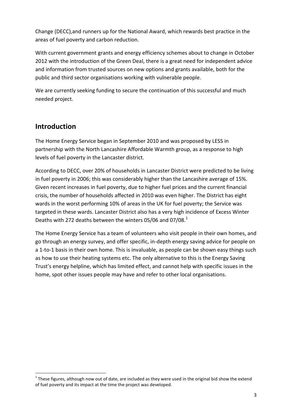Change (DECC),and runners up for the National Award, which rewards best practice in the areas of fuel poverty and carbon reduction.

With current government grants and energy efficiency schemes about to change in October 2012 with the introduction of the Green Deal, there is a great need for independent advice and information from trusted sources on new options and grants available, both for the public and third sector organisations working with vulnerable people.

We are currently seeking funding to secure the continuation of this successful and much needed project.

### **Introduction**

**.** 

The Home Energy Service began in September 2010 and was proposed by LESS in partnership with the North Lancashire Affordable Warmth group, as a response to high levels of fuel poverty in the Lancaster district.

According to DECC, over 20% of households in Lancaster District were predicted to be living in fuel poverty in 2006; this was considerably higher than the Lancashire average of 15%. Given recent increases in fuel poverty, due to higher fuel prices and the current financial crisis, the number of households affected in 2010 was even higher. The District has eight wards in the worst performing 10% of areas in the UK for fuel poverty; the Service was targeted in these wards. Lancaster District also has a very high incidence of Excess Winter Deaths with 272 deaths between the winters 05/06 and 07/08. $<sup>1</sup>$ </sup>

The Home Energy Service has a team of volunteers who visit people in their own homes, and go through an energy survey, and offer specific, in-depth energy saving advice for people on a 1-to-1 basis in their own home. This is invaluable, as people can be shown easy things such as how to use their heating systems etc. The only alternative to this is the Energy Saving Trust's energy helpline, which has limited effect, and cannot help with specific issues in the home, spot other issues people may have and refer to other local organisations.

 $1$  These figures, although now out of date, are included as they were used in the original bid show the extend of fuel poverty and its impact at the time the project was developed.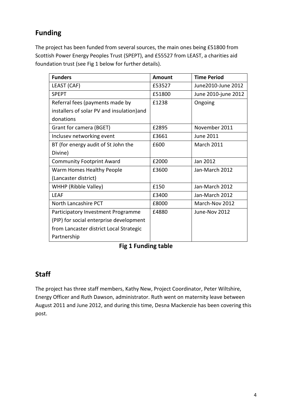### **Funding**

The project has been funded from several sources, the main ones being £51800 from Scottish Power Energy Peoples Trust (SPEPT), and £55527 from LEAST, a charities aid foundation trust (see Fig 1 below for further details).

| <b>Funders</b>                             | <b>Amount</b> | <b>Time Period</b>  |
|--------------------------------------------|---------------|---------------------|
| LEAST (CAF)                                | £53527        | June 2010-June 2012 |
| <b>SPEPT</b>                               | £51800        | June 2010-june 2012 |
| Referral fees (payments made by            | £1238         | Ongoing             |
| installers of solar PV and insulation) and |               |                     |
| donations                                  |               |                     |
| Grant for camera (BGET)                    | £2895         | November 2011       |
| Inclusev networking event                  | £3661         | June 2011           |
| BT (for energy audit of St John the        | £600          | <b>March 2011</b>   |
| Divine)                                    |               |                     |
| <b>Community Footprint Award</b>           | £2000         | Jan 2012            |
| Warm Homes Healthy People                  | £3600         | Jan-March 2012      |
| (Lancaster district)                       |               |                     |
| WHHP (Ribble Valley)                       | £150          | Jan-March 2012      |
| LFAF                                       | £3400         | Jan-March 2012      |
| North Lancashire PCT                       | £8000         | March-Nov 2012      |
| Participatory Investment Programme         | £4880         | June-Nov 2012       |
| (PIP) for social enterprise development    |               |                     |
| from Lancaster district Local Strategic    |               |                     |
| Partnership                                |               |                     |

**Fig 1 Funding table**

### **Staff**

The project has three staff members, Kathy New, Project Coordinator, Peter Wiltshire, Energy Officer and Ruth Dawson, administrator. Ruth went on maternity leave between August 2011 and June 2012, and during this time, Desna Mackenzie has been covering this post.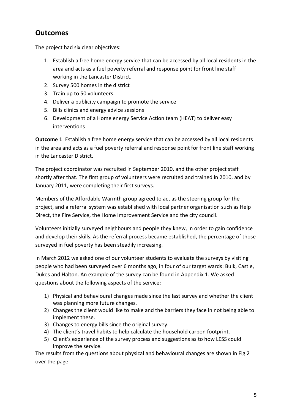### **Outcomes**

The project had six clear objectives:

- 1. Establish a free home energy service that can be accessed by all local residents in the area and acts as a fuel poverty referral and response point for front line staff working in the Lancaster District.
- 2. Survey 500 homes in the district
- 3. Train up to 50 volunteers
- 4. Deliver a publicity campaign to promote the service
- 5. Bills clinics and energy advice sessions
- 6. Development of a Home energy Service Action team (HEAT) to deliver easy interventions

**Outcome 1:** Establish a free home energy service that can be accessed by all local residents in the area and acts as a fuel poverty referral and response point for front line staff working in the Lancaster District.

The project coordinator was recruited in September 2010, and the other project staff shortly after that. The first group of volunteers were recruited and trained in 2010, and by January 2011, were completing their first surveys.

Members of the Affordable Warmth group agreed to act as the steering group for the project, and a referral system was established with local partner organisation such as Help Direct, the Fire Service, the Home Improvement Service and the city council.

Volunteers initially surveyed neighbours and people they knew, in order to gain confidence and develop their skills. As the referral process became established, the percentage of those surveyed in fuel poverty has been steadily increasing.

In March 2012 we asked one of our volunteer students to evaluate the surveys by visiting people who had been surveyed over 6 months ago, in four of our target wards: Bulk, Castle, Dukes and Halton. An example of the survey can be found in Appendix 1. We asked questions about the following aspects of the service:

- 1) Physical and behavioural changes made since the last survey and whether the client was planning more future changes.
- 2) Changes the client would like to make and the barriers they face in not being able to implement these.
- 3) Changes to energy bills since the original survey.
- 4) The client's travel habits to help calculate the household carbon footprint.
- 5) Client's experience of the survey process and suggestions as to how LESS could improve the service.

The results from the questions about physical and behavioural changes are shown in Fig 2 over the page.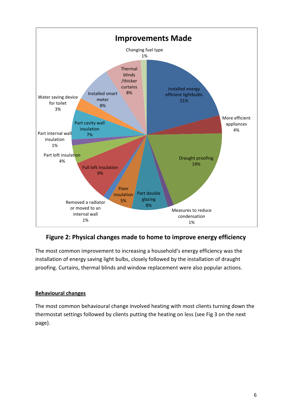

**Figure 2: Physical changes made to home to improve energy efficiency**

The most common improvement to increasing a household's energy efficiency was the installation of energy saving light bulbs, closely followed by the installation of draught proofing. Curtains, thermal blinds and window replacement were also popular actions.

### **Behavioural changes**

The most common behavioural change involved heating with most clients turning down the thermostat settings followed by clients putting the heating on less (see Fig 3 on the next page).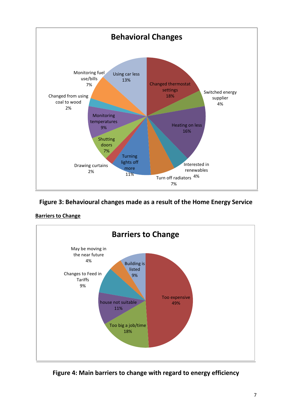

**Figure 3: Behavioural changes made as a result of the Home Energy Service**





**Figure 4: Main barriers to change with regard to energy efficiency**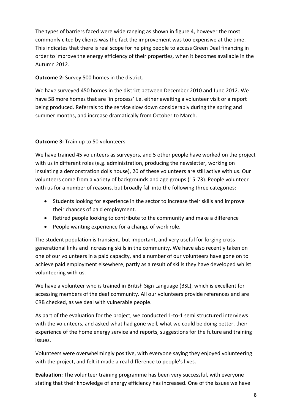The types of barriers faced were wide ranging as shown in figure 4, however the most commonly cited by clients was the fact the improvement was too expensive at the time. This indicates that there is real scope for helping people to access Green Deal financing in order to improve the energy efficiency of their properties, when it becomes available in the Autumn 2012.

**Outcome 2:** Survey 500 homes in the district.

We have surveyed 450 homes in the district between December 2010 and June 2012. We have 58 more homes that are 'in process' i.e. either awaiting a volunteer visit or a report being produced. Referrals to the service slow down considerably during the spring and summer months, and increase dramatically from October to March.

### **Outcome 3:** Train up to 50 volunteers

We have trained 45 volunteers as surveyors, and 5 other people have worked on the project with us in different roles (e.g. administration, producing the newsletter, working on insulating a demonstration dolls house), 20 of these volunteers are still active with us. Our volunteers come from a variety of backgrounds and age groups (15-73). People volunteer with us for a number of reasons, but broadly fall into the following three categories:

- Students looking for experience in the sector to increase their skills and improve their chances of paid employment.
- Retired people looking to contribute to the community and make a difference
- People wanting experience for a change of work role.

The student population is transient, but important, and very useful for forging cross generational links and increasing skills in the community. We have also recently taken on one of our volunteers in a paid capacity, and a number of our volunteers have gone on to achieve paid employment elsewhere, partly as a result of skills they have developed whilst volunteering with us.

We have a volunteer who is trained in British Sign Language (BSL), which is excellent for accessing members of the deaf community. All our volunteers provide references and are CRB checked, as we deal with vulnerable people.

As part of the evaluation for the project, we conducted 1-to-1 semi structured interviews with the volunteers, and asked what had gone well, what we could be doing better, their experience of the home energy service and reports, suggestions for the future and training issues.

Volunteers were overwhelmingly positive, with everyone saying they enjoyed volunteering with the project, and felt it made a real difference to people's lives.

**Evaluation:** The volunteer training programme has been very successful, with everyone stating that their knowledge of energy efficiency has increased. One of the issues we have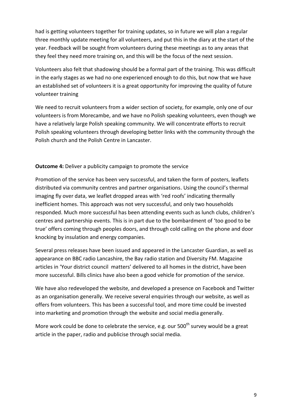had is getting volunteers together for training updates, so in future we will plan a regular three monthly update meeting for all volunteers, and put this in the diary at the start of the year. Feedback will be sought from volunteers during these meetings as to any areas that they feel they need more training on, and this will be the focus of the next session.

Volunteers also felt that shadowing should be a formal part of the training. This was difficult in the early stages as we had no one experienced enough to do this, but now that we have an established set of volunteers it is a great opportunity for improving the quality of future volunteer training

We need to recruit volunteers from a wider section of society, for example, only one of our volunteers is from Morecambe, and we have no Polish speaking volunteers, even though we have a relatively large Polish speaking community. We will concentrate efforts to recruit Polish speaking volunteers through developing better links with the community through the Polish church and the Polish Centre in Lancaster.

### **Outcome 4:** Deliver a publicity campaign to promote the service

Promotion of the service has been very successful, and taken the form of posters, leaflets distributed via community centres and partner organisations. Using the council's thermal imaging fly over data, we leaflet dropped areas with 'red roofs' indicating thermally inefficient homes. This approach was not very successful, and only two households responded. Much more successful has been attending events such as lunch clubs, children's centres and partnership events. This is in part due to the bombardment of 'too good to be true' offers coming through peoples doors, and through cold calling on the phone and door knocking by insulation and energy companies.

Several press releases have been issued and appeared in the Lancaster Guardian, as well as appearance on BBC radio Lancashire, the Bay radio station and Diversity FM. Magazine articles in 'Your district council matters' delivered to all homes in the district, have been more successful. Bills clinics have also been a good vehicle for promotion of the service.

We have also redeveloped the website, and developed a presence on Facebook and Twitter as an organisation generally. We receive several enquiries through our website, as well as offers from volunteers. This has been a successful tool, and more time could be invested into marketing and promotion through the website and social media generally.

More work could be done to celebrate the service, e.g. our  $500<sup>th</sup>$  survey would be a great article in the paper, radio and publicise through social media.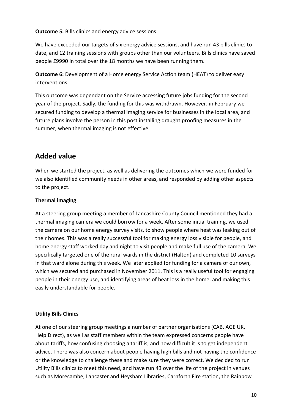**Outcome 5:** Bills clinics and energy advice sessions

We have exceeded our targets of six energy advice sessions, and have run 43 bills clinics to date, and 12 training sessions with groups other than our volunteers. Bills clinics have saved people £9990 in total over the 18 months we have been running them.

**Outcome 6:** Development of a Home energy Service Action team (HEAT) to deliver easy interventions

This outcome was dependant on the Service accessing future jobs funding for the second year of the project. Sadly, the funding for this was withdrawn. However, in February we secured funding to develop a thermal imaging service for businesses in the local area, and future plans involve the person in this post installing draught proofing measures in the summer, when thermal imaging is not effective.

### **Added value**

When we started the project, as well as delivering the outcomes which we were funded for, we also identified community needs in other areas, and responded by adding other aspects to the project.

### **Thermal imaging**

At a steering group meeting a member of Lancashire County Council mentioned they had a thermal imaging camera we could borrow for a week. After some initial training, we used the camera on our home energy survey visits, to show people where heat was leaking out of their homes. This was a really successful tool for making energy loss visible for people, and home energy staff worked day and night to visit people and make full use of the camera. We specifically targeted one of the rural wards in the district (Halton) and completed 10 surveys in that ward alone during this week. We later applied for funding for a camera of our own, which we secured and purchased in November 2011. This is a really useful tool for engaging people in their energy use, and identifying areas of heat loss in the home, and making this easily understandable for people.

### **Utility Bills Clinics**

At one of our steering group meetings a number of partner organisations (CAB, AGE UK, Help Direct), as well as staff members within the team expressed concerns people have about tariffs, how confusing choosing a tariff is, and how difficult it is to get independent advice. There was also concern about people having high bills and not having the confidence or the knowledge to challenge these and make sure they were correct. We decided to run Utility Bills clinics to meet this need, and have run 43 over the life of the project in venues such as Morecambe, Lancaster and Heysham Libraries, Carnforth Fire station, the Rainbow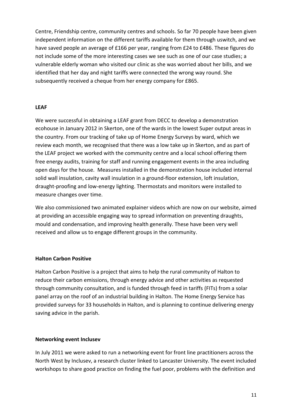Centre, Friendship centre, community centres and schools. So far 70 people have been given independent information on the different tariffs available for them through uswitch, and we have saved people an average of £166 per year, ranging from £24 to £486. These figures do not include some of the more interesting cases we see such as one of our case studies; a vulnerable elderly woman who visited our clinic as she was worried about her bills, and we identified that her day and night tariffs were connected the wrong way round. She subsequently received a cheque from her energy company for £865.

#### **LEAF**

We were successful in obtaining a LEAF grant from DECC to develop a demonstration ecohouse in January 2012 in Skerton, one of the wards in the lowest Super output areas in the country. From our tracking of take up of Home Energy Surveys by ward, which we review each month, we recognised that there was a low take up in Skerton, and as part of the LEAF project we worked with the community centre and a local school offering them free energy audits, training for staff and running engagement events in the area including open days for the house. Measures installed in the demonstration house included internal solid wall insulation, cavity wall insulation in a ground-floor extension, loft insulation, draught-proofing and low-energy lighting. Thermostats and monitors were installed to measure changes over time.

We also commissioned two animated explainer videos which are now on our website, aimed at providing an accessible engaging way to spread information on preventing draughts, mould and condensation, and improving health generally. These have been very well received and allow us to engage different groups in the community.

#### **Halton Carbon Positive**

Halton Carbon Positive is a project that aims to help the rural community of Halton to reduce their carbon emissions, through energy advice and other activities as requested through community consultation, and is funded through feed in tariffs (FITs) from a solar panel array on the roof of an industrial building in Halton. The Home Energy Service has provided surveys for 33 households in Halton, and is planning to continue delivering energy saving advice in the parish.

#### **Networking event Inclusev**

In July 2011 we were asked to run a networking event for front line practitioners across the North West by Inclusev, a research cluster linked to Lancaster University. The event included workshops to share good practice on finding the fuel poor, problems with the definition and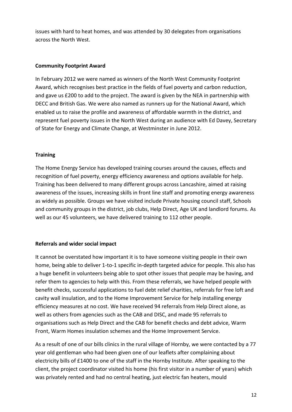issues with hard to heat homes, and was attended by 30 delegates from organisations across the North West.

#### **Community Footprint Award**

In February 2012 we were named as winners of the North West Community Footprint Award, which recognises best practice in the fields of fuel poverty and carbon reduction, and gave us £200 to add to the project. The award is given by the NEA in partnership with DECC and British Gas. We were also named as runners up for the National Award, which enabled us to raise the profile and awareness of affordable warmth in the district, and represent fuel poverty issues in the North West during an audience with Ed Davey, Secretary of State for Energy and Climate Change, at Westminster in June 2012.

#### **Training**

The Home Energy Service has developed training courses around the causes, effects and recognition of fuel poverty, energy efficiency awareness and options available for help. Training has been delivered to many different groups across Lancashire, aimed at raising awareness of the issues, increasing skills in front line staff and promoting energy awareness as widely as possible. Groups we have visited include Private housing council staff, Schools and community groups in the district, job clubs, Help Direct, Age UK and landlord forums. As well as our 45 volunteers, we have delivered training to 112 other people.

#### **Referrals and wider social impact**

It cannot be overstated how important it is to have someone visiting people in their own home, being able to deliver 1-to-1 specific in-depth targeted advice for people. This also has a huge benefit in volunteers being able to spot other issues that people may be having, and refer them to agencies to help with this. From these referrals, we have helped people with benefit checks, successful applications to fuel debt relief charities, referrals for free loft and cavity wall insulation, and to the Home Improvement Service for help installing energy efficiency measures at no cost. We have received 94 referrals from Help Direct alone, as well as others from agencies such as the CAB and DISC, and made 95 referrals to organisations such as Help Direct and the CAB for benefit checks and debt advice, Warm Front, Warm Homes insulation schemes and the Home Improvement Service.

As a result of one of our bills clinics in the rural village of Hornby, we were contacted by a 77 year old gentleman who had been given one of our leaflets after complaining about electricity bills of £1400 to one of the staff in the Hornby Institute. After speaking to the client, the project coordinator visited his home (his first visitor in a number of years) which was privately rented and had no central heating, just electric fan heaters, mould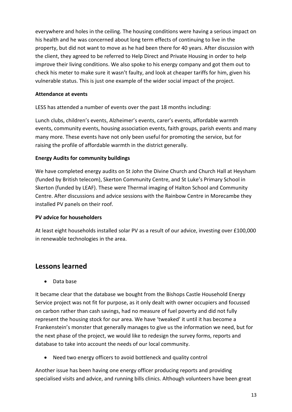everywhere and holes in the ceiling. The housing conditions were having a serious impact on his health and he was concerned about long term effects of continuing to live in the property, but did not want to move as he had been there for 40 years. After discussion with the client, they agreed to be referred to Help Direct and Private Housing in order to help improve their living conditions. We also spoke to his energy company and got them out to check his meter to make sure it wasn't faulty, and look at cheaper tariffs for him, given his vulnerable status. This is just one example of the wider social impact of the project.

#### **Attendance at events**

LESS has attended a number of events over the past 18 months including:

Lunch clubs, children's events, Alzheimer's events, carer's events, affordable warmth events, community events, housing association events, faith groups, parish events and many many more. These events have not only been useful for promoting the service, but for raising the profile of affordable warmth in the district generally.

### **Energy Audits for community buildings**

We have completed energy audits on St John the Divine Church and Church Hall at Heysham (funded by British telecom), Skerton Community Centre, and St Luke's Primary School in Skerton (funded by LEAF). These were Thermal imaging of Halton School and Community Centre. After discussions and advice sessions with the Rainbow Centre in Morecambe they installed PV panels on their roof.

#### **PV advice for householders**

At least eight households installed solar PV as a result of our advice, investing over £100,000 in renewable technologies in the area.

### **Lessons learned**

• Data base

It became clear that the database we bought from the Bishops Castle Household Energy Service project was not fit for purpose, as it only dealt with owner occupiers and focussed on carbon rather than cash savings, had no measure of fuel poverty and did not fully represent the housing stock for our area. We have 'tweaked' it until it has become a Frankenstein's monster that generally manages to give us the information we need, but for the next phase of the project, we would like to redesign the survey forms, reports and database to take into account the needs of our local community.

Need two energy officers to avoid bottleneck and quality control

Another issue has been having one energy officer producing reports and providing specialised visits and advice, and running bills clinics. Although volunteers have been great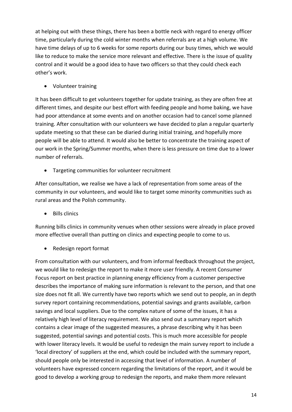at helping out with these things, there has been a bottle neck with regard to energy officer time, particularly during the cold winter months when referrals are at a high volume. We have time delays of up to 6 weeks for some reports during our busy times, which we would like to reduce to make the service more relevant and effective. There is the issue of quality control and it would be a good idea to have two officers so that they could check each other's work.

Volunteer training

It has been difficult to get volunteers together for update training, as they are often free at different times, and despite our best effort with feeding people and home baking, we have had poor attendance at some events and on another occasion had to cancel some planned training. After consultation with our volunteers we have decided to plan a regular quarterly update meeting so that these can be diaried during initial training, and hopefully more people will be able to attend. It would also be better to concentrate the training aspect of our work in the Spring/Summer months, when there is less pressure on time due to a lower number of referrals.

Targeting communities for volunteer recruitment

After consultation, we realise we have a lack of representation from some areas of the community in our volunteers, and would like to target some minority communities such as rural areas and the Polish community.

• Bills clinics

Running bills clinics in community venues when other sessions were already in place proved more effective overall than putting on clinics and expecting people to come to us.

• Redesign report format

From consultation with our volunteers, and from informal feedback throughout the project, we would like to redesign the report to make it more user friendly. A recent Consumer Focus report on best practice in planning energy efficiency from a customer perspective describes the importance of making sure information is relevant to the person, and that one size does not fit all. We currently have two reports which we send out to people, an in depth survey report containing recommendations, potential savings and grants available, carbon savings and local suppliers. Due to the complex nature of some of the issues, it has a relatively high level of literacy requirement. We also send out a summary report which contains a clear image of the suggested measures, a phrase describing why it has been suggested, potential savings and potential costs. This is much more accessible for people with lower literacy levels. It would be useful to redesign the main survey report to include a 'local directory' of suppliers at the end, which could be included with the summary report, should people only be interested in accessing that level of information. A number of volunteers have expressed concern regarding the limitations of the report, and it would be good to develop a working group to redesign the reports, and make them more relevant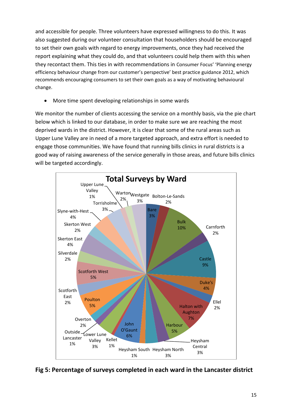and accessible for people. Three volunteers have expressed willingness to do this. It was also suggested during our volunteer consultation that householders should be encouraged to set their own goals with regard to energy improvements, once they had received the report explaining what they could do, and that volunteers could help them with this when they recontact them. This ties in with recommendations in Consumer Focus' 'Planning energy efficiency behaviour change from our customer's perspective' best practice guidance 2012, which recommends encouraging consumers to set their own goals as a way of motivating behavioural change.

More time spent developing relationships in some wards

We monitor the number of clients accessing the service on a monthly basis, via the pie chart below which is linked to our database, in order to make sure we are reaching the most deprived wards in the district. However, it is clear that some of the rural areas such as Upper Lune Valley are in need of a more targeted approach, and extra effort is needed to engage those communities. We have found that running bills clinics in rural districts is a good way of raising awareness of the service generally in those areas, and future bills clinics will be targeted accordingly.



**Fig 5: Percentage of surveys completed in each ward in the Lancaster district**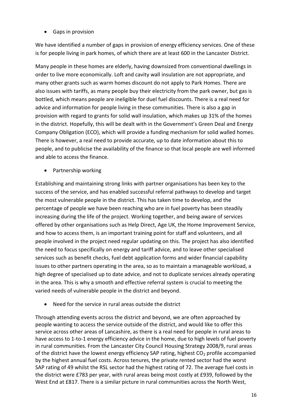Gaps in provision

We have identified a number of gaps in provision of energy efficiency services. One of these is for people living in park homes, of which there are at least 600 in the Lancaster District.

Many people in these homes are elderly, having downsized from conventional dwellings in order to live more economically. Loft and cavity wall insulation are not appropriate, and many other grants such as warm homes discount do not apply to Park Homes. There are also issues with tariffs, as many people buy their electricity from the park owner, but gas is bottled, which means people are ineligible for duel fuel discounts. There is a real need for advice and information for people living in these communities. There is also a gap in provision with regard to grants for solid wall insulation, which makes up 31% of the homes in the district. Hopefully, this will be dealt with in the Government's Green Deal and Energy Company Obligation (ECO), which will provide a funding mechanism for solid walled homes. There is however, a real need to provide accurate, up to date information about this to people, and to publicise the availability of the finance so that local people are well informed and able to access the finance.

• Partnership working

Establishing and maintaining strong links with partner organisations has been key to the success of the service, and has enabled successful referral pathways to develop and target the most vulnerable people in the district. This has taken time to develop, and the percentage of people we have been reaching who are in fuel poverty has been steadily increasing during the life of the project. Working together, and being aware of services offered by other organisations such as Help Direct, Age UK, the Home Improvement Service, and how to access them, is an important training point for staff and volunteers, and all people involved in the project need regular updating on this. The project has also identified the need to focus specifically on energy and tariff advice, and to leave other specialised services such as benefit checks, fuel debt application forms and wider financial capability issues to other partners operating in the area, so as to maintain a manageable workload, a high degree of specialised up to date advice, and not to duplicate services already operating in the area. This is why a smooth and effective referral system is crucial to meeting the varied needs of vulnerable people in the district and beyond.

Need for the service in rural areas outside the district

Through attending events across the district and beyond, we are often approached by people wanting to access the service outside of the district, and would like to offer this service across other areas of Lancashire, as there is a real need for people in rural areas to have access to 1-to-1 energy efficiency advice in the home, due to high levels of fuel poverty in rural communities. From the Lancaster City Council Housing Strategy 2008/9, rural areas of the district have the lowest energy efficiency SAP rating, highest  $CO<sub>2</sub>$  profile accompanied by the highest annual fuel costs. Across tenures, the private rented sector had the worst SAP rating of 49 whilst the RSL sector had the highest rating of 72. The average fuel costs in the district were £783 per year, with rural areas being most costly at £939, followed by the West End at £817. There is a similar picture in rural communities across the North West,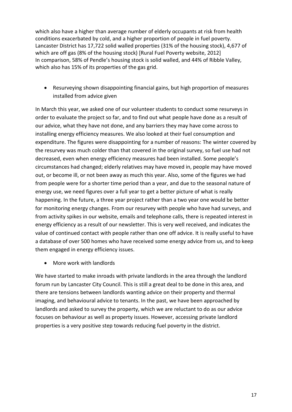which also have a higher than average number of elderly occupants at risk from health conditions exacerbated by cold, and a higher proportion of people in fuel poverty. Lancaster District has 17,722 solid walled properties (31% of the housing stock), 4,677 of which are off gas (8% of the housing stock) [Rural Fuel Poverty website, 2012] In comparison, 58% of Pendle's housing stock is solid walled, and 44% of Ribble Valley, which also has 15% of its properties of the gas grid.

 Resurveying shown disappointing financial gains, but high proportion of measures installed from advice given

In March this year, we asked one of our volunteer students to conduct some resurveys in order to evaluate the project so far, and to find out what people have done as a result of our advice, what they have not done, and any barriers they may have come across to installing energy efficiency measures. We also looked at their fuel consumption and expenditure. The figures were disappointing for a number of reasons: The winter covered by the resurvey was much colder than that covered in the original survey, so fuel use had not decreased, even when energy efficiency measures had been installed. Some people's circumstances had changed; elderly relatives may have moved in, people may have moved out, or become ill, or not been away as much this year. Also, some of the figures we had from people were for a shorter time period than a year, and due to the seasonal nature of energy use, we need figures over a full year to get a better picture of what is really happening. In the future, a three year project rather than a two year one would be better for monitoring energy changes. From our resurvey with people who have had surveys, and from activity spikes in our website, emails and telephone calls, there is repeated interest in energy efficiency as a result of our newsletter. This is very well received, and indicates the value of continued contact with people rather than one off advice. It is really useful to have a database of over 500 homes who have received some energy advice from us, and to keep them engaged in energy efficiency issues.

• More work with landlords

We have started to make inroads with private landlords in the area through the landlord forum run by Lancaster City Council. This is still a great deal to be done in this area, and there are tensions between landlords wanting advice on their property and thermal imaging, and behavioural advice to tenants. In the past, we have been approached by landlords and asked to survey the property, which we are reluctant to do as our advice focuses on behaviour as well as property issues. However, accessing private landlord properties is a very positive step towards reducing fuel poverty in the district.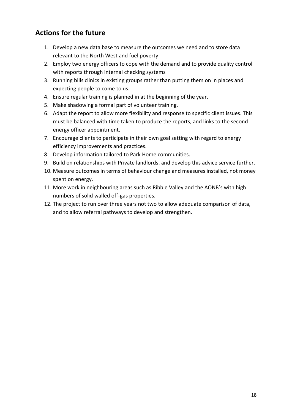### **Actions for the future**

- 1. Develop a new data base to measure the outcomes we need and to store data relevant to the North West and fuel poverty
- 2. Employ two energy officers to cope with the demand and to provide quality control with reports through internal checking systems
- 3. Running bills clinics in existing groups rather than putting them on in places and expecting people to come to us.
- 4. Ensure regular training is planned in at the beginning of the year.
- 5. Make shadowing a formal part of volunteer training.
- 6. Adapt the report to allow more flexibility and response to specific client issues. This must be balanced with time taken to produce the reports, and links to the second energy officer appointment.
- 7. Encourage clients to participate in their own goal setting with regard to energy efficiency improvements and practices.
- 8. Develop information tailored to Park Home communities.
- 9. Build on relationships with Private landlords, and develop this advice service further.
- 10. Measure outcomes in terms of behaviour change and measures installed, not money spent on energy.
- 11. More work in neighbouring areas such as Ribble Valley and the AONB's with high numbers of solid walled off-gas properties.
- 12. The project to run over three years not two to allow adequate comparison of data, and to allow referral pathways to develop and strengthen.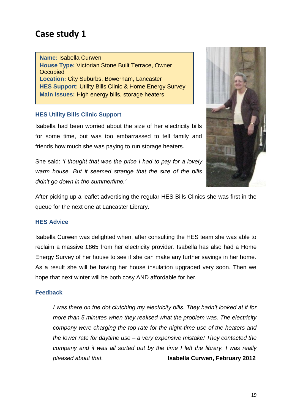**Name:** Isabella Curwen **House Type:** Victorian Stone Built Terrace, Owner **Occupied Location:** City Suburbs, Bowerham, Lancaster **HES Support:** Utility Bills Clinic & Home Energy Survey **Main Issues:** High energy bills, storage heaters

### **HES Utility Bills Clinic Support**

Isabella had been worried about the size of her electricity bills for some time, but was too embarrassed to tell family and friends how much she was paying to run storage heaters.

She said: *'I thought that was the price I had to pay for a lovely warm house. But it seemed strange that the size of the bills didn't go down in the summertime.'*



After picking up a leaflet advertising the regular HES Bills Clinics she was first in the queue for the next one at Lancaster Library.

#### **HES Advice**

Isabella Curwen was delighted when, after consulting the HES team she was able to reclaim a massive £865 from her electricity provider. Isabella has also had a Home Energy Survey of her house to see if she can make any further savings in her home. As a result she will be having her house insulation upgraded very soon. Then we hope that next winter will be both cosy AND affordable for her.

#### **Feedback**

*I was there on the dot clutching my electricity bills. They hadn't looked at it for more than 5 minutes when they realised what the problem was. The electricity company were charging the top rate for the night-time use of the heaters and the lower rate for daytime use – a very expensive mistake! They contacted the company and it was all sorted out by the time I left the library. I was really pleased about that.* **Isabella Curwen, February 2012**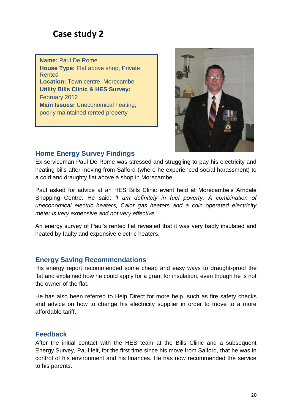**Name:** Paul De Rome **House Type:** Flat above shop, Private Rented **Location:** Town centre, Morecambe **Utility Bills Clinic & HES Survey:**  February 2012 **Main Issues:** Uneconomical heating, poorly maintained rented property



### **Home Energy Survey Findings**

Ex-serviceman Paul De Rome was stressed and struggling to pay his electricity and heating bills after moving from Salford (where he experienced social harassment) to a cold and draughty flat above a shop in Morecambe.

Paul asked for advice at an HES Bills Clinic event held at Morecambe's Arndale Shopping Centre. He said: *'I am definitely in fuel poverty. A combination of uneconomical electric heaters, Calor gas heaters and a coin operated electricity meter is very expensive and not very effective*.'

An energy survey of Paul's rented flat revealed that it was very badly insulated and heated by faulty and expensive electric heaters.

### **Energy Saving Recommendations**

His energy report recommended some cheap and easy ways to draught-proof the flat and explained how he could apply for a grant for insulation, even though he is not the owner of the flat.

He has also been referred to Help Direct for more help, such as fire safety checks and advice on how to change his electricity supplier in order to move to a more affordable tariff.

### **Feedback**

After the initial contact with the HES team at the Bills Clinic and a subsequent Energy Survey, Paul felt, for the first time since his move from Salford, that he was in control of his environment and his finances. He has now recommended the service to his parents.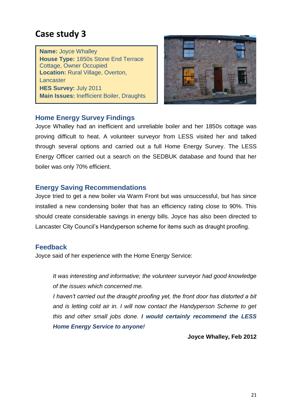**Name:** Joyce Whalley **House Type:** 1850s Stone End Terrace Cottage, Owner Occupied **Location:** Rural Village, Overton, **Lancaster HES Survey:** July 2011 **Main Issues:** Inefficient Boiler, Draughts



### **Home Energy Survey Findings**

Joyce Whalley had an inefficient and unreliable boiler and her 1850s cottage was proving difficult to heat. A volunteer surveyor from LESS visited her and talked through several options and carried out a full Home Energy Survey. The LESS Energy Officer carried out a search on the SEDBUK database and found that her boiler was only 70% efficient.

### **Energy Saving Recommendations**

Joyce tried to get a new boiler via Warm Front but was unsuccessful, but has since installed a new condensing boiler that has an efficiency rating close to 90%. This should create considerable savings in energy bills. Joyce has also been directed to Lancaster City Council's Handyperson scheme for items such as draught proofing.

### **Feedback**

Joyce said of her experience with the Home Energy Service:

*It was interesting and informative; the volunteer surveyor had good knowledge of the issues which concerned me.*

*I haven't carried out the draught proofing yet, the front door has distorted a bit and is letting cold air in. I will now contact the Handyperson Scheme to get this and other small jobs done. I would certainly recommend the LESS Home Energy Service to anyone!* 

**Joyce Whalley, Feb 2012**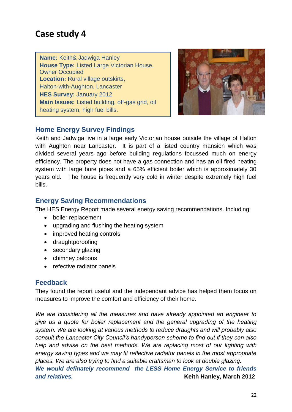**Name:** Keith& Jadwiga Hanley **House Type:** Listed Large Victorian House, Owner Occupied **Location:** Rural village outskirts, Halton-with-Aughton, Lancaster **HES Survey:** January 2012 **Main Issues:** Listed building, off-gas grid, oil heating system, high fuel bills.



### **Home Energy Survey Findings**

Keith and Jadwiga live in a large early Victorian house outside the village of Halton with Aughton near Lancaster. It is part of a listed country mansion which was divided several years ago before building regulations focussed much on energy efficiency. The property does not have a gas connection and has an oil fired heating system with large bore pipes and a 65% efficient boiler which is approximately 30 years old. The house is frequently very cold in winter despite extremely high fuel bills.

### **Energy Saving Recommendations**

The HES Energy Report made several energy saving recommendations. Including:

- boiler replacement
- upgrading and flushing the heating system
- improved heating controls
- draughtporoofing
- secondary glazing
- chimney baloons
- refective radiator panels

### **Feedback**

They found the report useful and the independant advice has helped them focus on measures to improve the comfort and efficiency of their home.

*We are considering all the measures and have already appointed an engineer to give us a quote for boiler replacement and the general upgrading of the heating system. We are looking at various methods to reduce draughts and will probably also consult the Lancaster City Council's handyperson scheme to find out if they can also help and advise on the best methods. We are replacing most of our lighting with energy saving types and we may fit reflective radiator panels in the most appropriate places. We are also trying to find a suitable craftsman to look at double glazing.*

*We would definately recommend the LESS Home Energy Service to friends*  **and relatives. Constructed Articles 2012 Constructed Articles 2012**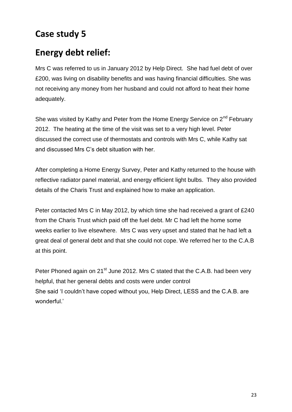# **Energy debt relief:**

Mrs C was referred to us in January 2012 by Help Direct. She had fuel debt of over £200, was living on disability benefits and was having financial difficulties. She was not receiving any money from her husband and could not afford to heat their home adequately.

She was visited by Kathy and Peter from the Home Energy Service on 2<sup>nd</sup> February 2012. The heating at the time of the visit was set to a very high level. Peter discussed the correct use of thermostats and controls with Mrs C, while Kathy sat and discussed Mrs C's debt situation with her.

After completing a Home Energy Survey, Peter and Kathy returned to the house with reflective radiator panel material, and energy efficient light bulbs. They also provided details of the Charis Trust and explained how to make an application.

Peter contacted Mrs C in May 2012, by which time she had received a grant of £240 from the Charis Trust which paid off the fuel debt. Mr C had left the home some weeks earlier to live elsewhere. Mrs C was very upset and stated that he had left a great deal of general debt and that she could not cope. We referred her to the C.A.B at this point.

Peter Phoned again on 21<sup>st</sup> June 2012. Mrs C stated that the C.A.B. had been very helpful, that her general debts and costs were under control She said 'I couldn't have coped without you, Help Direct, LESS and the C.A.B. are wonderful.'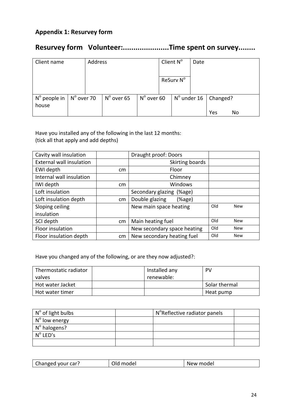### **Appendix 1: Resurvey form**

### **Resurvey form Volunteer:......................Time spent on survey........**

| Client name                    |                     | Address |                     |                     | Client $N^{\circ}$                               | Date |     |    |  |
|--------------------------------|---------------------|---------|---------------------|---------------------|--------------------------------------------------|------|-----|----|--|
|                                |                     |         |                     |                     | ReSurv N <sup>o</sup>                            |      |     |    |  |
| $N^{\circ}$ people in<br>house | $N^{\circ}$ over 70 |         | $N^{\circ}$ over 65 | $N^{\circ}$ over 60 | $\vert$ N <sup>o</sup> under 16 $\vert$ Changed? |      | Yes | No |  |

Have you installed any of the following in the last 12 months: (tick all that apply and add depths)

| Cavity wall insulation          |    | Draught proof: Doors        |     |            |
|---------------------------------|----|-----------------------------|-----|------------|
| <b>External wall insulation</b> |    | Skirting boards             |     |            |
| EWI depth                       | cm | Floor                       |     |            |
| Internal wall insulation        |    | Chimney                     |     |            |
| IWI depth                       | cm | Windows                     |     |            |
| Loft insulation                 |    | Secondary glazing (%age)    |     |            |
| Loft insulation depth           | cm | Double glazing<br>(%        |     |            |
| Sloping ceiling                 |    | New main space heating      | Old | <b>New</b> |
| insulation                      |    |                             |     |            |
| SCI depth                       | cm | Main heating fuel           | Old | <b>New</b> |
| Floor insulation                |    | New secondary space heating | Old | <b>New</b> |
| Floor insulation depth          | cm | New secondary heating fuel  | Old | <b>New</b> |

Have you changed any of the following, or are they now adjusted?:

| Thermostatic radiator | Installed any | PV            |
|-----------------------|---------------|---------------|
| valves                | renewable:    |               |
| Hot water Jacket      |               | Solar thermal |
| Hot water timer       |               | Heat pump     |

| $\mathsf{N}^{\mathsf{o}}$ of light bulbs | N <sup>o</sup> Reflective radiator panels |  |
|------------------------------------------|-------------------------------------------|--|
| $No$ low energy                          |                                           |  |
| N° halogens?                             |                                           |  |
| $N^{\circ}$ LED's                        |                                           |  |
|                                          |                                           |  |

| $\sim$<br>hanged your car?<br>: modei<br>∩ W<br>IΜ<br><u>ັ</u> ້ນ ເພຍ <sub>ເປ</sub> |
|-------------------------------------------------------------------------------------|
|-------------------------------------------------------------------------------------|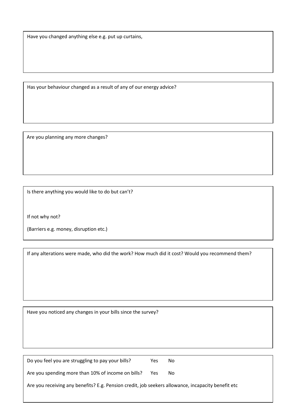Have you changed anything else e.g. put up curtains,

Has your behaviour changed as a result of any of our energy advice?

Are you planning any more changes?

Is there anything you would like to do but can't?

If not why not?

(Barriers e.g. money, disruption etc.)

If any alterations were made, who did the work? How much did it cost? Would you recommend them?

Have you noticed any changes in your bills since the survey?

| Do you feel you are struggling to pay your bills?                                                  | Yes | No. |
|----------------------------------------------------------------------------------------------------|-----|-----|
| Are you spending more than 10% of income on bills?                                                 | Yes | No. |
| Are you receiving any benefits? E.g. Pension credit, job seekers allowance, incapacity benefit etc |     |     |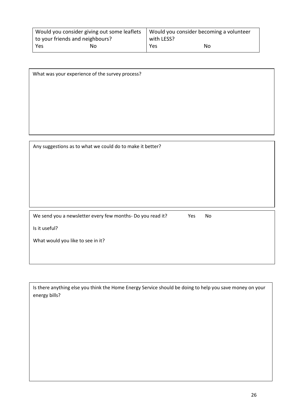|                                 | Would you consider giving out some leaflets | Would you consider becoming a volunteer |    |  |  |
|---------------------------------|---------------------------------------------|-----------------------------------------|----|--|--|
| to your friends and neighbours? |                                             | with LESS?                              |    |  |  |
| Yes                             | No                                          | Yes                                     | No |  |  |

| What was your experience of the survey process?           |  |
|-----------------------------------------------------------|--|
|                                                           |  |
|                                                           |  |
|                                                           |  |
|                                                           |  |
|                                                           |  |
|                                                           |  |
| Any suggestions as to what we could do to make it better? |  |
|                                                           |  |
|                                                           |  |

We send you a newsletter every few months- Do you read it? Yes No

Is it useful?

What would you like to see in it?

Is there anything else you think the Home Energy Service should be doing to help you save money on your energy bills?